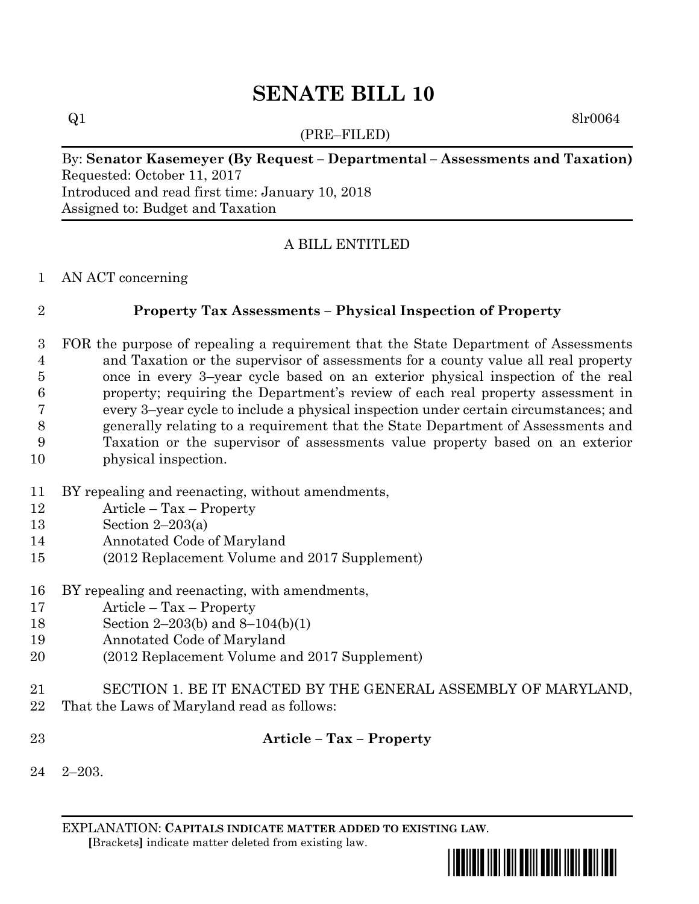# **SENATE BILL 10**

 $Q1$  8lr0064

(PRE–FILED)

## By: **Senator Kasemeyer (By Request – Departmental – Assessments and Taxation)** Requested: October 11, 2017 Introduced and read first time: January 10, 2018

Assigned to: Budget and Taxation

### A BILL ENTITLED

AN ACT concerning

#### **Property Tax Assessments – Physical Inspection of Property**

 FOR the purpose of repealing a requirement that the State Department of Assessments and Taxation or the supervisor of assessments for a county value all real property once in every 3–year cycle based on an exterior physical inspection of the real property; requiring the Department's review of each real property assessment in every 3–year cycle to include a physical inspection under certain circumstances; and generally relating to a requirement that the State Department of Assessments and Taxation or the supervisor of assessments value property based on an exterior physical inspection.

- BY repealing and reenacting, without amendments,
- Article Tax Property
- Section 2–203(a)
- Annotated Code of Maryland
- (2012 Replacement Volume and 2017 Supplement)
- BY repealing and reenacting, with amendments,
- Article Tax Property
- Section 2–203(b) and 8–104(b)(1)
- Annotated Code of Maryland
- (2012 Replacement Volume and 2017 Supplement)
- SECTION 1. BE IT ENACTED BY THE GENERAL ASSEMBLY OF MARYLAND,
- That the Laws of Maryland read as follows:
- 

#### **Article – Tax – Property**

2–203.

EXPLANATION: **CAPITALS INDICATE MATTER ADDED TO EXISTING LAW**.  **[**Brackets**]** indicate matter deleted from existing law.